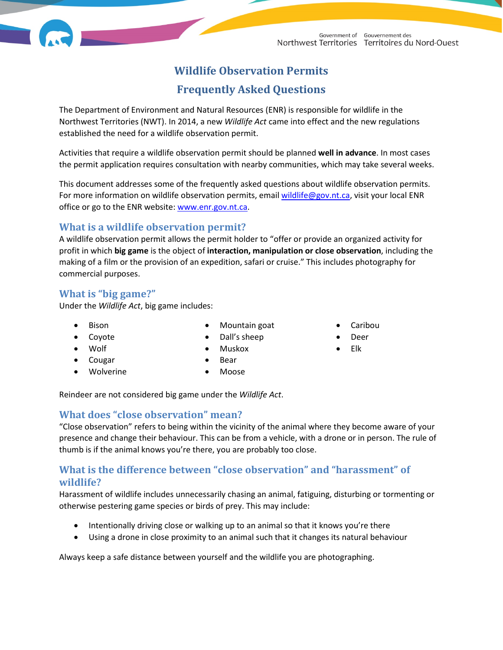# **Wildlife Observation Permits**

## **Frequently Asked Questions**

The Department of Environment and Natural Resources (ENR) is responsible for wildlife in the Northwest Territories (NWT). In 2014, a new *Wildlife Act* came into effect and the new regulations established the need for a wildlife observation permit.

Activities that require a wildlife observation permit should be planned **well in advance**. In most cases the permit application requires consultation with nearby communities, which may take several weeks.

This document addresses some of the frequently asked questions about wildlife observation permits. For more information on wildlife observation permits, emai[l wildlife@gov.nt.ca,](mailto:wildlife@gov.nt.ca) visit your local ENR office or go to the ENR website: [www.enr.gov.nt.ca.](http://www.enr.gov.nt.ca/)

### **What is a wildlife observation permit?**

A wildlife observation permit allows the permit holder to "offer or provide an organized activity for profit in which **big game** is the object of **interaction, manipulation or close observation**, including the making of a film or the provision of an expedition, safari or cruise." This includes photography for commercial purposes.

## **What is "big game?"**

Under the *Wildlife Act*, big game includes:

• Bison

• Mountain goat • Dall's sheep

- Coyote
- Wolf
	- Cougar
- Wolverine
- Muskox • Bear
- 
- Moose

Reindeer are not considered big game under the *Wildlife Act*.

## **What does "close observation" mean?**

"Close observation" refers to being within the vicinity of the animal where they become aware of your presence and change their behaviour. This can be from a vehicle, with a drone or in person. The rule of thumb is if the animal knows you're there, you are probably too close.

## **What is the difference between "close observation" and "harassment" of wildlife?**

Harassment of wildlife includes unnecessarily chasing an animal, fatiguing, disturbing or tormenting or otherwise pestering game species or birds of prey. This may include:

- Intentionally driving close or walking up to an animal so that it knows you're there
- Using a drone in close proximity to an animal such that it changes its natural behaviour

Always keep a safe distance between yourself and the wildlife you are photographing.

- Caribou
- Deer
- Elk